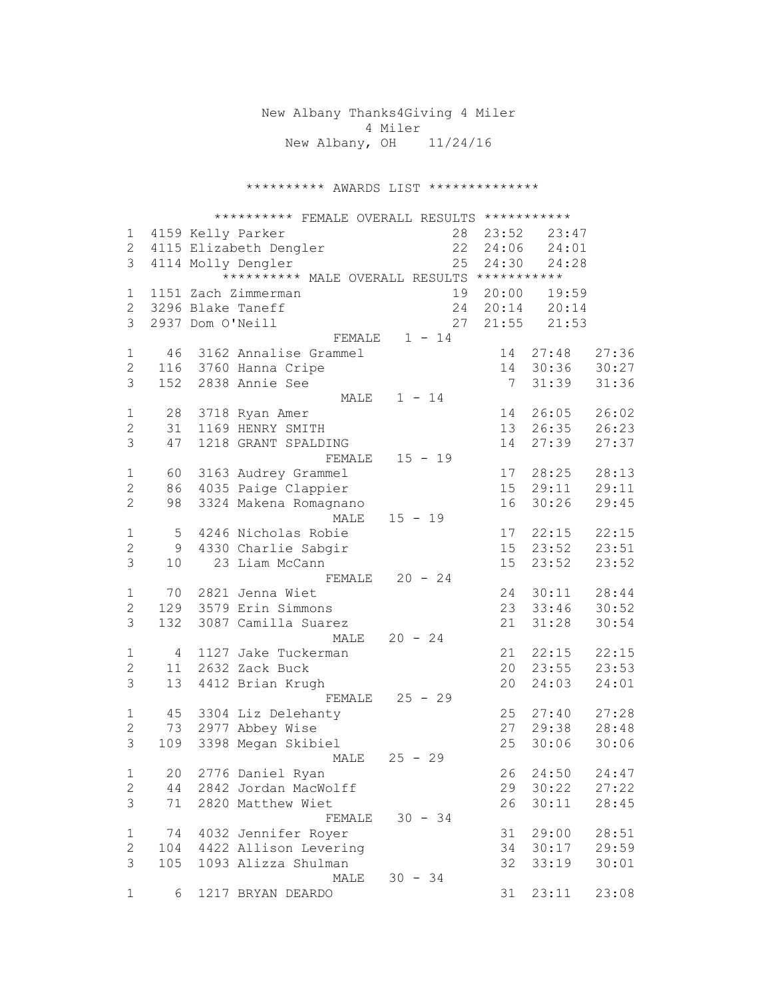New Albany Thanks4Giving 4 Miler 4 Miler New Albany, OH 11/24/16

\*\*\*\*\*\*\*\*\*\* AWARDS LIST \*\*\*\*\*\*\*\*\*\*\*\*\*\*

|                |     |                  | ********** FEMALE OVERALL RESULTS *********** |                  |                |                  |       |
|----------------|-----|------------------|-----------------------------------------------|------------------|----------------|------------------|-------|
| 1              |     |                  | 4159 Kelly Parker                             |                  |                | 28 23:52 23:47   |       |
| $\mathbf{2}$   |     |                  | 4115 Elizabeth Dengler                        |                  |                | 22 24:06 24:01   |       |
| 3              |     |                  | 4114 Molly Dengler                            |                  | 25 24:30       | 24:28            |       |
|                |     |                  | ********** MALE OVERALL RESULTS ***********   |                  |                |                  |       |
| $\mathbf 1$    |     |                  | 1151 Zach Zimmerman                           |                  | 19 20:00       | 19:59            |       |
| $\overline{2}$ |     |                  | 3296 Blake Taneff                             |                  |                | 24  20:14  20:14 |       |
| 3              |     | 2937 Dom O'Neill |                                               | 27               | 21:55          | 21:53            |       |
|                |     |                  | FEMALE                                        | $1 - 14$         |                |                  |       |
| $\mathbf 1$    | 46  |                  | 3162 Annalise Grammel                         |                  | 14             | 27:48            | 27:36 |
| 2              | 116 |                  | 3760 Hanna Cripe                              |                  | 14             | 30:36            | 30:27 |
| 3              | 152 |                  | 2838 Annie See                                |                  | $7\phantom{0}$ |                  |       |
|                |     |                  |                                               |                  |                | 31:39            | 31:36 |
|                |     |                  |                                               | MALE $1 - 14$    |                |                  |       |
| $\mathbf 1$    | 28  |                  | 3718 Ryan Amer                                |                  | 14             | 26:05            | 26:02 |
| 2              | 31  |                  | 1169 HENRY SMITH                              |                  | 13             | 26:35            | 26:23 |
| 3              | 47  |                  | 1218 GRANT SPALDING                           |                  | 14             | 27:39            | 27:37 |
|                |     |                  |                                               | FEMALE 15 - 19   |                |                  |       |
| $\mathbf 1$    | 60  |                  | 3163 Audrey Grammel                           |                  | 17             | 28:25            | 28:13 |
| $\mathbf{2}$   | 86  |                  | 4035 Paige Clappier                           |                  | 15             | 29:11            | 29:11 |
| $\mathbf{2}$   | 98  |                  | 3324 Makena Romagnano                         |                  | 16             | 30:26            | 29:45 |
|                |     |                  | MALE                                          | $15 - 19$        |                |                  |       |
| $\mathbf 1$    | 5   |                  | 4246 Nicholas Robie                           |                  | 17             | 22:15            | 22:15 |
| $\mathbf{2}$   | 9   |                  | 4330 Charlie Sabgir                           |                  | 15             | 23:52            | 23:51 |
| 3              | 10  |                  | 23 Liam McCann                                |                  | 15             | 23:52            | 23:52 |
|                |     |                  |                                               | FEMALE $20 - 24$ |                |                  |       |
| $\mathbf 1$    |     |                  | 70 2821 Jenna Wiet                            |                  | 24             | 30:11            | 28:44 |
| 2              | 129 |                  | 3579 Erin Simmons                             |                  | 23             | 33:46            | 30:52 |
| 3              | 132 |                  | 3087 Camilla Suarez                           |                  | 21             | 31:28            | 30:54 |
|                |     |                  | MALE                                          | $20 - 24$        |                |                  |       |
| $\mathbf 1$    | 4   |                  | 1127 Jake Tuckerman                           |                  | 21             | 22:15            | 22:15 |
| $\mathbf{2}$   | 11  |                  | 2632 Zack Buck                                |                  | 20             | 23:55            | 23:53 |
| 3              | 13  |                  | 4412 Brian Krugh                              |                  | 20             | 24:03            | 24:01 |
|                |     |                  |                                               | FEMALE $25 - 29$ |                |                  |       |
| 1              | 45  |                  | 3304 Liz Delehanty                            |                  | 25             | 27:40            | 27:28 |
| $\mathbf{2}$   | 73  |                  | 2977 Abbey Wise                               |                  | 27             | 29:38            | 28:48 |
| 3              |     |                  |                                               |                  |                |                  | 30:06 |
|                | 109 |                  | 3398 Megan Skibiel                            |                  | 25             | 30:06            |       |
|                |     |                  | MALE                                          | $25 - 29$        |                |                  |       |
| $\mathbf 1$    | 20  |                  | 2776 Daniel Ryan                              |                  | 26             | 24:50            | 24:47 |
| $\mathbf{2}$   | 44  |                  | 2842 Jordan MacWolff                          |                  | 29             | 30:22            | 27:22 |
| 3              | 71  |                  | 2820 Matthew Wiet                             |                  | 26             | 30:11            | 28:45 |
|                |     |                  | FEMALE                                        | $30 - 34$        |                |                  |       |
| $\mathbf 1$    | 74  |                  | 4032 Jennifer Royer                           |                  | 31             | 29:00            | 28:51 |
| $\overline{2}$ | 104 |                  | 4422 Allison Levering                         |                  | 34             | 30:17            | 29:59 |
| 3              | 105 |                  | 1093 Alizza Shulman                           |                  | 32             | 33:19            | 30:01 |
|                |     |                  | MALE                                          | $30 - 34$        |                |                  |       |
| 1              | 6   |                  | 1217 BRYAN DEARDO                             |                  | 31             | 23:11            | 23:08 |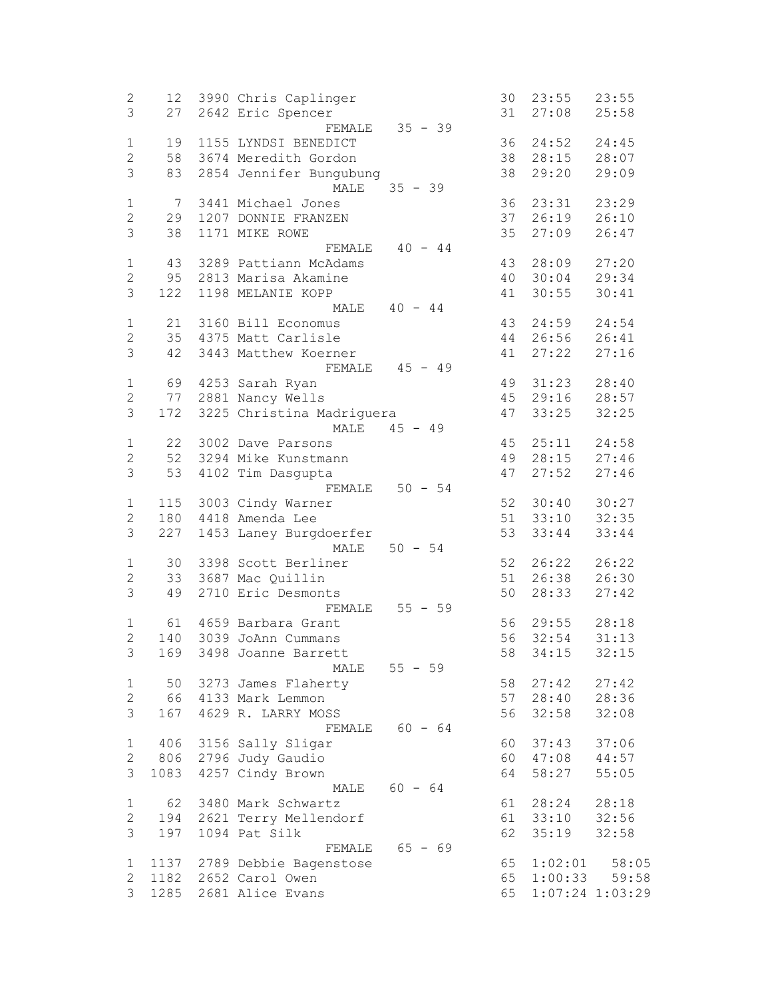| $\overline{c}$ | 12              | 3990 Chris Caplinger      |           | 30 | 23:55    | 23:55               |
|----------------|-----------------|---------------------------|-----------|----|----------|---------------------|
| 3              | 27              | 2642 Eric Spencer         |           | 31 | 27:08    | 25:58               |
|                |                 | FEMALE                    | $35 - 39$ |    |          |                     |
| $\mathbf{1}$   | 19              | 1155 LYNDSI BENEDICT      |           | 36 | 24:52    | 24:45               |
| $\mathbf{2}$   | 58              | 3674 Meredith Gordon      |           | 38 | 28:15    | 28:07               |
| $\mathfrak{Z}$ |                 |                           |           | 38 |          |                     |
|                | 83              | 2854 Jennifer Bungubung   |           |    | 29:20    | 29:09               |
|                |                 | MALE                      | $35 - 39$ |    |          |                     |
| $\mathbf{1}$   | $7\phantom{.0}$ | 3441 Michael Jones        |           | 36 | 23:31    | 23:29               |
| $\overline{2}$ | 29              | 1207 DONNIE FRANZEN       |           | 37 | 26:19    | 26:10               |
| 3              | 38              | 1171 MIKE ROWE            |           | 35 | 27:09    | 26:47               |
|                |                 | FEMALE                    | $40 - 44$ |    |          |                     |
| $\mathbf 1$    | 43              | 3289 Pattiann McAdams     |           | 43 | 28:09    | 27:20               |
| $\mathbf{2}$   | 95              | 2813 Marisa Akamine       |           | 40 | 30:04    | 29:34               |
| 3              | 122             | 1198 MELANIE KOPP         |           | 41 | 30:55    | 30:41               |
|                |                 | MALE                      | $40 - 44$ |    |          |                     |
|                |                 |                           |           |    |          |                     |
| $\mathbf{1}$   | 21              | 3160 Bill Economus        |           | 43 | 24:59    | 24:54               |
| $\mathbf{2}$   | 35              | 4375 Matt Carlisle        |           | 44 | 26:56    | 26:41               |
| 3              | 42              | 3443 Matthew Koerner      |           | 41 | 27:22    | 27:16               |
|                |                 | FEMALE                    | $45 - 49$ |    |          |                     |
| $\mathbf{1}$   | 69              | 4253 Sarah Ryan           |           | 49 | 31:23    | 28:40               |
| $\mathbf{2}$   | 77              | 2881 Nancy Wells          |           | 45 | 29:16    | 28:57               |
| 3              | 172             | 3225 Christina Madriguera |           | 47 | 33:25    | 32:25               |
|                |                 | MALE                      | $45 - 49$ |    |          |                     |
| $\mathbf{1}$   | 22              | 3002 Dave Parsons         |           | 45 | 25:11    | 24:58               |
|                | 52              | 3294 Mike Kunstmann       |           | 49 | 28:15    |                     |
| 2              |                 |                           |           |    |          | 27:46               |
| 3              | 53              | 4102 Tim Dasgupta         |           | 47 | 27:52    | 27:46               |
|                |                 | FEMALE                    | $50 - 54$ |    |          |                     |
| $\mathbf 1$    | 115             | 3003 Cindy Warner         |           | 52 | 30:40    | 30:27               |
| $\mathbf{2}$   | 180             | 4418 Amenda Lee           |           |    | 51 33:10 | 32:35               |
| 3              | 227             | 1453 Laney Burgdoerfer    |           | 53 | 33:44    | 33:44               |
|                |                 | MALE                      | $50 - 54$ |    |          |                     |
| $\mathbf{1}$   | 30              | 3398 Scott Berliner       |           | 52 | 26:22    | 26:22               |
| $\overline{2}$ | 33              | 3687 Mac Quillin          |           | 51 | 26:38    | 26:30               |
| $\mathfrak{Z}$ | 49              | 2710 Eric Desmonts        |           | 50 | 28:33    | 27:42               |
|                |                 | FEMALE                    | $55 - 59$ |    |          |                     |
|                |                 |                           |           |    |          |                     |
| $\mathbf 1$    | 61              | 4659 Barbara Grant        |           | 56 | 29:55    | 28:18               |
| $\overline{2}$ | 140             | 3039 JoAnn Cummans        |           | 56 | 32:54    | 31:13               |
| 3              | 169             | 3498 Joanne Barrett       |           | 58 | 34:15    | 32:15               |
|                |                 | MALE                      | $55 - 59$ |    |          |                     |
| $\mathbf 1$    | 50              | 3273 James Flaherty       |           | 58 | 27:42    | 27:42               |
| $\overline{2}$ | 66              | 4133 Mark Lemmon          |           | 57 | 28:40    | 28:36               |
| 3              | 167             | 4629 R. LARRY MOSS        |           | 56 | 32:58    | 32:08               |
|                |                 | FEMALE                    | $60 - 64$ |    |          |                     |
| $\mathbf{1}$   | 406             | 3156 Sally Sligar         |           | 60 | 37:43    | 37:06               |
| $\overline{2}$ | 806             | 2796 Judy Gaudio          |           | 60 | 47:08    | 44:57               |
|                |                 |                           |           |    |          |                     |
| 3              | 1083            | 4257 Cindy Brown          |           | 64 | 58:27    | 55:05               |
|                |                 | MALE                      | $60 - 64$ |    |          |                     |
| $\mathbf{1}$   | 62              | 3480 Mark Schwartz        |           | 61 | 28:24    | 28:18               |
| $\overline{2}$ | 194             | 2621 Terry Mellendorf     |           | 61 | 33:10    | 32:56               |
| 3              | 197             | 1094 Pat Silk             |           | 62 | 35:19    | 32:58               |
|                |                 | FEMALE                    | $65 - 69$ |    |          |                     |
| $\mathbf 1$    | 1137            | 2789 Debbie Bagenstose    |           | 65 | 1:02:01  | 58:05               |
| $\mathbf{2}$   | 1182            | 2652 Carol Owen           |           | 65 | 1:00:33  | 59:58               |
| 3              | 1285            | 2681 Alice Evans          |           | 65 |          | $1:07:24$ $1:03:29$ |
|                |                 |                           |           |    |          |                     |